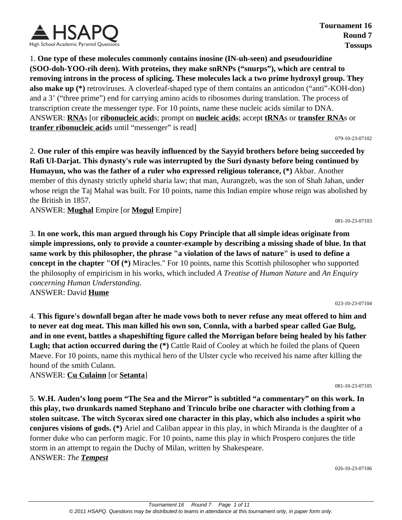

1. **One type of these molecules commonly contains inosine (IN-uh-seen) and pseudouridine (SOO-doh-YOO-rih deen). With proteins, they make snRNPs ("snurps"), which are central to removing introns in the process of splicing. These molecules lack a two prime hydroxyl group. They also make up (\*)** retroviruses. A cloverleaf-shaped type of them contains an anticodon ("anti"-KOH-don) and a 3' ("three prime") end for carrying amino acids to ribosomes during translation. The process of transcription create the messenger type. For 10 points, name these nucleic acids similar to DNA. ANSWER: **RNA**s [or **ribonucleic acid**s; prompt on **nucleic acids**; accept **tRNA**s or **transfer RNA**s or **tranfer ribonucleic acid**s until "messenger" is read]

079-10-23-07102

2. **One ruler of this empire was heavily influenced by the Sayyid brothers before being succeeded by Rafi Ul-Darjat. This dynasty's rule was interrupted by the Suri dynasty before being continued by Humayun, who was the father of a ruler who expressed religious tolerance, (\*)** Akbar. Another member of this dynasty strictly upheld sharia law; that man, Aurangzeb, was the son of Shah Jahan, under whose reign the Taj Mahal was built. For 10 points, name this Indian empire whose reign was abolished by the British in 1857.

ANSWER: **Mughal** Empire [or **Mogul** Empire]

081-10-23-07103

3. **In one work, this man argued through his Copy Principle that all simple ideas originate from simple impressions, only to provide a counter-example by describing a missing shade of blue. In that same work by this philosopher, the phrase "a violation of the laws of nature" is used to define a concept in the chapter "Of (\*)** Miracles." For 10 points, name this Scottish philosopher who supported the philosophy of empiricism in his works, which included *A Treatise of Human Nature* and *An Enquiry concerning Human Understanding*. ANSWER: David **Hume**

023-10-23-07104

081-10-23-07105

4. **This figure's downfall began after he made vows both to never refuse any meat offered to him and to never eat dog meat. This man killed his own son, Connla, with a barbed spear called Gae Bulg, and in one event, battles a shapeshifting figure called the Morrigan before being healed by his father** Lugh; that action occurred during the  $(*)$  Cattle Raid of Cooley at which he foiled the plans of Queen Maeve. For 10 points, name this mythical hero of the Ulster cycle who received his name after killing the hound of the smith Culann.

ANSWER: **Cu Culainn** [or **Setanta**]

5. **W.H. Auden's long poem "The Sea and the Mirror" is subtitled "a commentary" on this work. In this play, two drunkards named Stephano and Trinculo bribe one character with clothing from a stolen suitcase. The witch Sycorax sired one character in this play, which also includes a spirit who conjures visions of gods. (\*)** Ariel and Caliban appear in this play, in which Miranda is the daughter of a former duke who can perform magic. For 10 points, name this play in which Prospero conjures the title storm in an attempt to regain the Duchy of Milan, written by Shakespeare. ANSWER: *The Tempest*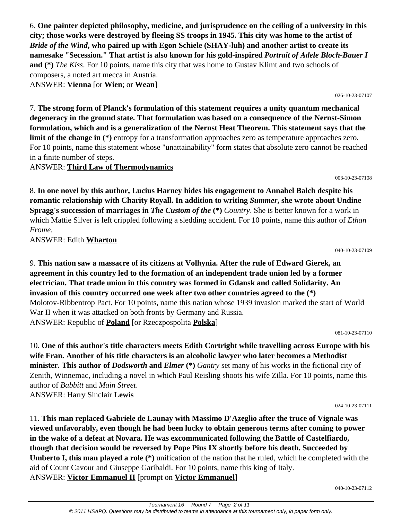6. **One painter depicted philosophy, medicine, and jurisprudence on the ceiling of a university in this city; those works were destroyed by fleeing SS troops in 1945. This city was home to the artist of**  *Bride of the Wind***, who paired up with Egon Schiele (SHAY-luh) and another artist to create its namesake "Secession." That artist is also known for his gold-inspired** *Portrait of Adele Bloch-Bauer I* **and (\*)** *The Kiss*. For 10 points, name this city that was home to Gustav Klimt and two schools of composers, a noted art mecca in Austria. ANSWER: **Vienna** [or **Wien**; or **Wean**]

026-10-23-07107

003-10-23-07108

040-10-23-07109

7. **The strong form of Planck's formulation of this statement requires a unity quantum mechanical degeneracy in the ground state. That formulation was based on a consequence of the Nernst-Simon formulation, which and is a generalization of the Nernst Heat Theorem. This statement says that the limit of the change in** (\*) entropy for a transformation approaches zero as temperature approaches zero. For 10 points, name this statement whose "unattainability" form states that absolute zero cannot be reached in a finite number of steps.

ANSWER: **Third Law of Thermodynamics**

8. **In one novel by this author, Lucius Harney hides his engagement to Annabel Balch despite his romantic relationship with Charity Royall. In addition to writing** *Summer***, she wrote about Undine Spragg's succession of marriages in** *The Custom of the* **(\*)** *Country*. She is better known for a work in which Mattie Silver is left crippled following a sledding accident. For 10 points, name this author of *Ethan Frome*.

ANSWER: Edith **Wharton**

9. **This nation saw a massacre of its citizens at Volhynia. After the rule of Edward Gierek, an agreement in this country led to the formation of an independent trade union led by a former electrician. That trade union in this country was formed in Gdansk and called Solidarity. An invasion of this country occurred one week after two other countries agreed to the (\*)** Molotov-Ribbentrop Pact. For 10 points, name this nation whose 1939 invasion marked the start of World War II when it was attacked on both fronts by Germany and Russia. ANSWER: Republic of **Poland** [or Rzeczpospolita **Polska**]

081-10-23-07110

10. **One of this author's title characters meets Edith Cortright while travelling across Europe with his wife Fran. Another of his title characters is an alcoholic lawyer who later becomes a Methodist minister. This author of** *Dodsworth* **and** *Elmer* **(\*)** *Gantry* set many of his works in the fictional city of Zenith, Winnemac, including a novel in which Paul Reisling shoots his wife Zilla. For 10 points, name this author of *Babbitt* and *Main Street*. ANSWER: Harry Sinclair **Lewis**

024-10-23-07111

11. **This man replaced Gabriele de Launay with Massimo D'Azeglio after the truce of Vignale was viewed unfavorably, even though he had been lucky to obtain generous terms after coming to power in the wake of a defeat at Novara. He was excommunicated following the Battle of Castelfiardo, though that decision would be reversed by Pope Pius IX shortly before his death. Succeeded by Umberto I, this man played a role (\*)** unification of the nation that he ruled, which he completed with the aid of Count Cavour and Giuseppe Garibaldi. For 10 points, name this king of Italy. ANSWER: **Victor Emmanuel II** [prompt on **Victor Emmanuel**]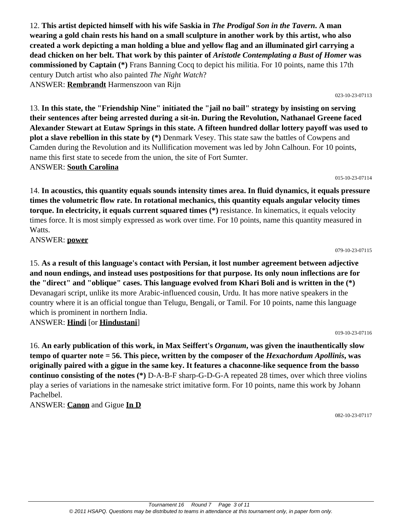12. **This artist depicted himself with his wife Saskia in** *The Prodigal Son in the Tavern***. A man wearing a gold chain rests his hand on a small sculpture in another work by this artist, who also created a work depicting a man holding a blue and yellow flag and an illuminated girl carrying a dead chicken on her belt. That work by this painter of** *Aristotle Contemplating a Bust of Homer* **was commissioned by Captain (\*)** Frans Banning Cocq to depict his militia. For 10 points, name this 17th century Dutch artist who also painted *The Night Watch*? ANSWER: **Rembrandt** Harmenszoon van Rijn

13. **In this state, the "Friendship Nine" initiated the "jail no bail" strategy by insisting on serving their sentences after being arrested during a sit-in. During the Revolution, Nathanael Greene faced Alexander Stewart at Eutaw Springs in this state. A fifteen hundred dollar lottery payoff was used to plot a slave rebellion in this state by (\*)** Denmark Vesey. This state saw the battles of Cowpens and Camden during the Revolution and its Nullification movement was led by John Calhoun. For 10 points, name this first state to secede from the union, the site of Fort Sumter. ANSWER: **South Carolina**

14. **In acoustics, this quantity equals sounds intensity times area. In fluid dynamics, it equals pressure times the volumetric flow rate. In rotational mechanics, this quantity equals angular velocity times torque. In electricity, it equals current squared times (\*)** resistance. In kinematics, it equals velocity times force. It is most simply expressed as work over time. For 10 points, name this quantity measured in Watts.

ANSWER: **power**

15. **As a result of this language's contact with Persian, it lost number agreement between adjective and noun endings, and instead uses postpositions for that purpose. Its only noun inflections are for the "direct" and "oblique" cases. This language evolved from Khari Boli and is written in the (\*)** Devanagari script, unlike its more Arabic-influenced cousin, Urdu. It has more native speakers in the country where it is an official tongue than Telugu, Bengali, or Tamil. For 10 points, name this language which is prominent in northern India. ANSWER: **Hindi** [or **Hindustani**]

16. **An early publication of this work, in Max Seiffert's** *Organum***, was given the inauthentically slow tempo of quarter note = 56. This piece, written by the composer of the** *Hexachordum Apollinis***, was originally paired with a gigue in the same key. It features a chaconne-like sequence from the basso continuo consisting of the notes (\*)** D-A-B-F sharp-G-D-G-A repeated 28 times, over which three violins play a series of variations in the namesake strict imitative form. For 10 points, name this work by Johann Pachelbel.

ANSWER: **Canon** and Gigue **In D**

082-10-23-07117

019-10-23-07116

#### 079-10-23-07115

015-10-23-07114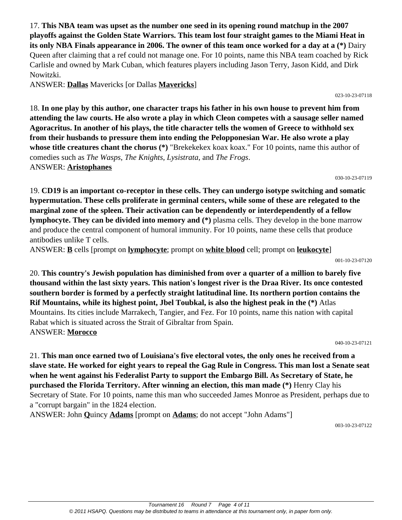17. **This NBA team was upset as the number one seed in its opening round matchup in the 2007 playoffs against the Golden State Warriors. This team lost four straight games to the Miami Heat in its only NBA Finals appearance in 2006. The owner of this team once worked for a day at a (\*)** Dairy Queen after claiming that a ref could not manage one. For 10 points, name this NBA team coached by Rick Carlisle and owned by Mark Cuban, which features players including Jason Terry, Jason Kidd, and Dirk Nowitzki.

ANSWER: **Dallas** Mavericks [or Dallas **Mavericks**]

18. **In one play by this author, one character traps his father in his own house to prevent him from attending the law courts. He also wrote a play in which Cleon competes with a sausage seller named Agoracritus. In another of his plays, the title character tells the women of Greece to withhold sex from their husbands to pressure them into ending the Pelopponesian War. He also wrote a play whose title creatures chant the chorus (\*)** "Brekekekex koax koax." For 10 points, name this author of comedies such as *The Wasps*, *The Knights*, *Lysistrata*, and *The Frogs*. ANSWER: **Aristophanes**

19. **CD19 is an important co-receptor in these cells. They can undergo isotype switching and somatic hypermutation. These cells proliferate in germinal centers, while some of these are relegated to the marginal zone of the spleen. Their activation can be dependently or interdependently of a fellow lymphocyte. They can be divided into memory and (\*)** plasma cells. They develop in the bone marrow and produce the central component of humoral immunity. For 10 points, name these cells that produce

antibodies unlike T cells.

ANSWER: **B** cells [prompt on **lymphocyte**; prompt on **white blood** cell; prompt on **leukocyte**]

001-10-23-07120

030-10-23-07119

20. **This country's Jewish population has diminished from over a quarter of a million to barely five thousand within the last sixty years. This nation's longest river is the Draa River. Its once contested southern border is formed by a perfectly straight latitudinal line. Its northern portion contains the Rif Mountains, while its highest point, Jbel Toubkal, is also the highest peak in the (\*)** Atlas Mountains. Its cities include Marrakech, Tangier, and Fez. For 10 points, name this nation with capital Rabat which is situated across the Strait of Gibraltar from Spain. ANSWER: **Morocco**

040-10-23-07121

21. **This man once earned two of Louisiana's five electoral votes, the only ones he received from a slave state. He worked for eight years to repeal the Gag Rule in Congress. This man lost a Senate seat when he went against his Federalist Party to support the Embargo Bill. As Secretary of State, he purchased the Florida Territory. After winning an election, this man made (\*)** Henry Clay his Secretary of State. For 10 points, name this man who succeeded James Monroe as President, perhaps due to a "corrupt bargain" in the 1824 election.

ANSWER: John **Q**uincy **Adams** [prompt on **Adams**; do not accept "John Adams"]

003-10-23-07122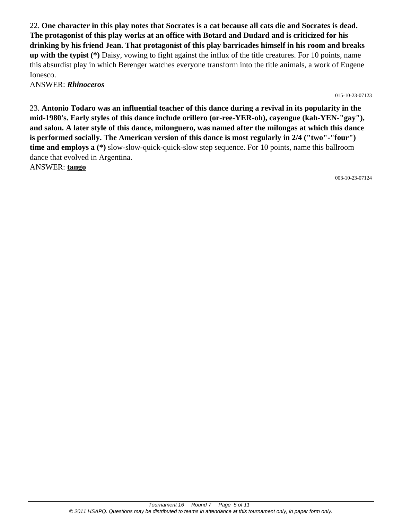22. **One character in this play notes that Socrates is a cat because all cats die and Socrates is dead. The protagonist of this play works at an office with Botard and Dudard and is criticized for his drinking by his friend Jean. That protagonist of this play barricades himself in his room and breaks up with the typist (\*)** Daisy, vowing to fight against the influx of the title creatures. For 10 points, name this absurdist play in which Berenger watches everyone transform into the title animals, a work of Eugene Ionesco.

#### ANSWER: *Rhinoceros*

015-10-23-07123

23. **Antonio Todaro was an influential teacher of this dance during a revival in its popularity in the mid-1980's. Early styles of this dance include orillero (or-ree-YER-oh), cayengue (kah-YEN-"gay"), and salon. A later style of this dance, milonguero, was named after the milongas at which this dance is performed socially. The American version of this dance is most regularly in 2/4 ("two"-"four") time and employs a (\*)** slow-slow-quick-quick-slow step sequence. For 10 points, name this ballroom dance that evolved in Argentina. ANSWER: **tango**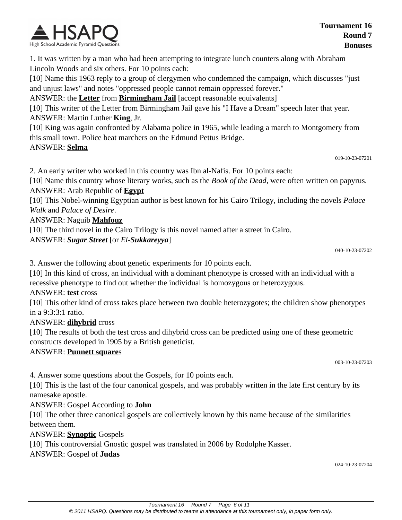

1. It was written by a man who had been attempting to integrate lunch counters along with Abraham Lincoln Woods and six others. For 10 points each:

[10] Name this 1963 reply to a group of clergymen who condemned the campaign, which discusses "just and unjust laws" and notes "oppressed people cannot remain oppressed forever."

ANSWER: the **Letter** from **Birmingham Jail** [accept reasonable equivalents]

[10] This writer of the Letter from Birmingham Jail gave his "I Have a Dream" speech later that year. ANSWER: Martin Luther **King**, Jr.

[10] King was again confronted by Alabama police in 1965, while leading a march to Montgomery from this small town. Police beat marchers on the Edmund Pettus Bridge.

#### ANSWER: **Selma**

019-10-23-07201

2. An early writer who worked in this country was Ibn al-Nafis. For 10 points each:

[10] Name this country whose literary works, such as the *Book of the Dead*, were often written on papyrus. ANSWER: Arab Republic of **Egypt**

[10] This Nobel-winning Egyptian author is best known for his Cairo Trilogy, including the novels *Palace Walk* and *Palace of Desire*.

ANSWER: Naguib **Mahfouz**

[10] The third novel in the Cairo Trilogy is this novel named after a street in Cairo.

ANSWER: *Sugar Street* [or *El-Sukkareyya*]

040-10-23-07202

3. Answer the following about genetic experiments for 10 points each.

[10] In this kind of cross, an individual with a dominant phenotype is crossed with an individual with a recessive phenotype to find out whether the individual is homozygous or heterozygous.

#### ANSWER: **test** cross

[10] This other kind of cross takes place between two double heterozygotes; the children show phenotypes in a 9:3:3:1 ratio.

### ANSWER: **dihybrid** cross

[10] The results of both the test cross and dihybrid cross can be predicted using one of these geometric constructs developed in 1905 by a British geneticist.

### ANSWER: **Punnett square**s

003-10-23-07203

4. Answer some questions about the Gospels, for 10 points each.

[10] This is the last of the four canonical gospels, and was probably written in the late first century by its namesake apostle.

ANSWER: Gospel According to **John**

[10] The other three canonical gospels are collectively known by this name because of the similarities between them.

ANSWER: **Synoptic** Gospels

[10] This controversial Gnostic gospel was translated in 2006 by Rodolphe Kasser.

ANSWER: Gospel of **Judas**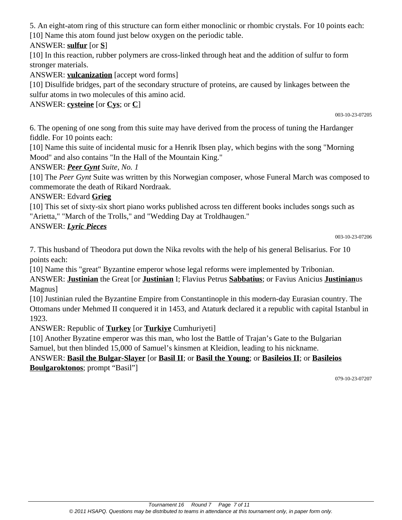5. An eight-atom ring of this structure can form either monoclinic or rhombic crystals. For 10 points each: [10] Name this atom found just below oxygen on the periodic table.

ANSWER: **sulfur** [or **S**]

[10] In this reaction, rubber polymers are cross-linked through heat and the addition of sulfur to form stronger materials.

ANSWER: **vulcanization** [accept word forms]

[10] Disulfide bridges, part of the secondary structure of proteins, are caused by linkages between the sulfur atoms in two molecules of this amino acid.

ANSWER: **cysteine** [or **Cys**; or **C**]

003-10-23-07205

6. The opening of one song from this suite may have derived from the process of tuning the Hardanger fiddle. For 10 points each:

[10] Name this suite of incidental music for a Henrik Ibsen play, which begins with the song "Morning Mood" and also contains "In the Hall of the Mountain King."

ANSWER: *Peer Gynt Suite, No. 1*

[10] The *Peer Gynt* Suite was written by this Norwegian composer, whose Funeral March was composed to commemorate the death of Rikard Nordraak.

### ANSWER: Edvard **Grieg**

[10] This set of sixty-six short piano works published across ten different books includes songs such as "Arietta," "March of the Trolls," and "Wedding Day at Troldhaugen."

## ANSWER: *Lyric Pieces*

003-10-23-07206

7. This husband of Theodora put down the Nika revolts with the help of his general Belisarius. For 10 points each:

[10] Name this "great" Byzantine emperor whose legal reforms were implemented by Tribonian. ANSWER: **Justinian** the Great [or **Justinian** I; Flavius Petrus **Sabbatius**; or Favius Anicius **Justinian**us

Magnus]

[10] Justinian ruled the Byzantine Empire from Constantinople in this modern-day Eurasian country. The Ottomans under Mehmed II conquered it in 1453, and Ataturk declared it a republic with capital Istanbul in 1923.

ANSWER: Republic of **Turkey** [or **Turkiye** Cumhuriyeti]

[10] Another Byzatine emperor was this man, who lost the Battle of Trajan's Gate to the Bulgarian Samuel, but then blinded 15,000 of Samuel's kinsmen at Kleidion, leading to his nickname.

#### ANSWER: **Basil the Bulgar-Slayer** [or **Basil II**; or **Basil the Young**; or **Basileios II**; or **Basileios Boulgaroktonos**; prompt "Basil"]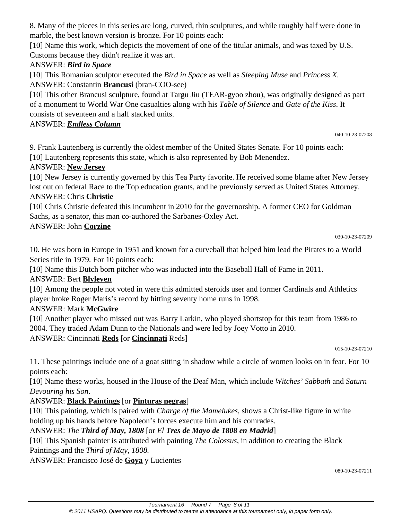8. Many of the pieces in this series are long, curved, thin sculptures, and while roughly half were done in marble, the best known version is bronze. For 10 points each:

[10] Name this work, which depicts the movement of one of the titular animals, and was taxed by U.S. Customs because they didn't realize it was art.

### ANSWER: *Bird in Space*

[10] This Romanian sculptor executed the *Bird in Space* as well as *Sleeping Muse* and *Princess X*. ANSWER: Constantin **Brancusi** (bran-COO-see)

[10] This other Brancusi sculpture, found at Targu Jiu (TEAR-gyoo zhou), was originally designed as part of a monument to World War One casualties along with his *Table of Silence* and *Gate of the Kiss*. It consists of seventeen and a half stacked units.

ANSWER: *Endless Column*

040-10-23-07208

9. Frank Lautenberg is currently the oldest member of the United States Senate. For 10 points each: [10] Lautenberg represents this state, which is also represented by Bob Menendez.

### ANSWER: **New Jersey**

[10] New Jersey is currently governed by this Tea Party favorite. He received some blame after New Jersey lost out on federal Race to the Top education grants, and he previously served as United States Attorney. ANSWER: Chris **Christie**

[10] Chris Christie defeated this incumbent in 2010 for the governorship. A former CEO for Goldman Sachs, as a senator, this man co-authored the Sarbanes-Oxley Act.

### ANSWER: John **Corzine**

030-10-23-07209

10. He was born in Europe in 1951 and known for a curveball that helped him lead the Pirates to a World Series title in 1979. For 10 points each:

[10] Name this Dutch born pitcher who was inducted into the Baseball Hall of Fame in 2011.

## ANSWER: Bert **Blyleven**

[10] Among the people not voted in were this admitted steroids user and former Cardinals and Athletics player broke Roger Maris's record by hitting seventy home runs in 1998.

## ANSWER: Mark **McGwire**

[10] Another player who missed out was Barry Larkin, who played shortstop for this team from 1986 to 2004. They traded Adam Dunn to the Nationals and were led by Joey Votto in 2010.

ANSWER: Cincinnati **Reds** [or **Cincinnati** Reds]

015-10-23-07210

11. These paintings include one of a goat sitting in shadow while a circle of women looks on in fear. For 10 points each:

[10] Name these works, housed in the House of the Deaf Man, which include *Witches' Sabbath* and *Saturn Devouring his Son*.

## ANSWER: **Black Paintings** [or **Pinturas negras**]

[10] This painting, which is paired with *Charge of the Mamelukes*, shows a Christ-like figure in white holding up his hands before Napoleon's forces execute him and his comrades.

## ANSWER: *The Third of May, 1808* [or *El Tres de Mayo de 1808 en Madrid*]

[10] This Spanish painter is attributed with painting *The Colossus*, in addition to creating the Black Paintings and the *Third of May, 1808.*

ANSWER: Francisco José de **Goya** y Lucientes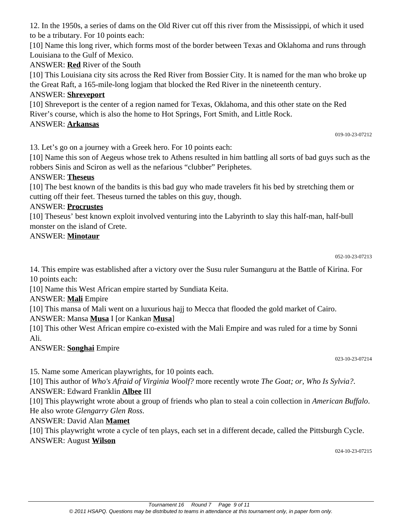12. In the 1950s, a series of dams on the Old River cut off this river from the Mississippi, of which it used to be a tributary. For 10 points each:

[10] Name this long river, which forms most of the border between Texas and Oklahoma and runs through Louisiana to the Gulf of Mexico.

ANSWER: **Red** River of the South

[10] This Louisiana city sits across the Red River from Bossier City. It is named for the man who broke up the Great Raft, a 165-mile-long logjam that blocked the Red River in the nineteenth century.

## ANSWER: **Shreveport**

[10] Shreveport is the center of a region named for Texas, Oklahoma, and this other state on the Red River's course, which is also the home to Hot Springs, Fort Smith, and Little Rock.

## ANSWER: **Arkansas**

019-10-23-07212

13. Let's go on a journey with a Greek hero. For 10 points each:

[10] Name this son of Aegeus whose trek to Athens resulted in him battling all sorts of bad guys such as the robbers Sinis and Sciron as well as the nefarious "clubber" Periphetes.

### ANSWER: **Theseus**

[10] The best known of the bandits is this bad guy who made travelers fit his bed by stretching them or cutting off their feet. Theseus turned the tables on this guy, though.

### ANSWER: **Procrustes**

[10] Theseus' best known exploit involved venturing into the Labyrinth to slay this half-man, half-bull monster on the island of Crete.

#### ANSWER: **Minotaur**

14. This empire was established after a victory over the Susu ruler Sumanguru at the Battle of Kirina. For 10 points each:

[10] Name this West African empire started by Sundiata Keita.

ANSWER: **Mali** Empire

[10] This mansa of Mali went on a luxurious hajj to Mecca that flooded the gold market of Cairo.

### ANSWER: Mansa **Musa** I [or Kankan **Musa**]

[10] This other West African empire co-existed with the Mali Empire and was ruled for a time by Sonni Ali.

## ANSWER: **Songhai** Empire

023-10-23-07214

15. Name some American playwrights, for 10 points each.

[10] This author of *Who's Afraid of Virginia Woolf?* more recently wrote *The Goat; or, Who Is Sylvia?*. ANSWER: Edward Franklin **Albee** III

[10] This playwright wrote about a group of friends who plan to steal a coin collection in *American Buffalo*. He also wrote *Glengarry Glen Ross*.

## ANSWER: David Alan **Mamet**

[10] This playwright wrote a cycle of ten plays, each set in a different decade, called the Pittsburgh Cycle. ANSWER: August **Wilson**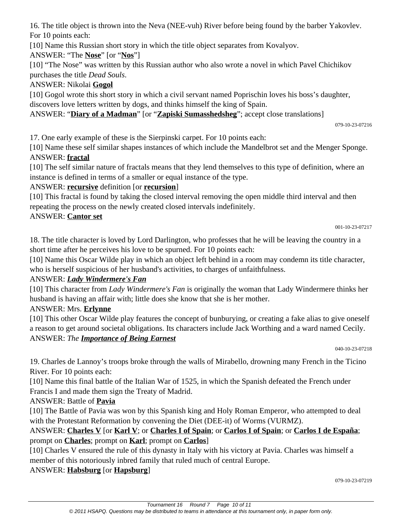16. The title object is thrown into the Neva (NEE-vuh) River before being found by the barber Yakovlev. For 10 points each:

[10] Name this Russian short story in which the title object separates from Kovalyov.

ANSWER: "The **Nose**" [or "**Nos**"]

[10] "The Nose" was written by this Russian author who also wrote a novel in which Pavel Chichikov purchases the title *Dead Souls*.

## ANSWER: Nikolai **Gogol**

[10] Gogol wrote this short story in which a civil servant named Poprischin loves his boss's daughter, discovers love letters written by dogs, and thinks himself the king of Spain.

ANSWER: "**Diary of a Madman**" [or "**Zapiski Sumasshedsheg**"; accept close translations]

079-10-23-07216

17. One early example of these is the Sierpinski carpet. For 10 points each:

[10] Name these self similar shapes instances of which include the Mandelbrot set and the Menger Sponge. ANSWER: **fractal**

[10] The self similar nature of fractals means that they lend themselves to this type of definition, where an instance is defined in terms of a smaller or equal instance of the type.

# ANSWER: **recursive** definition [or **recursion**]

[10] This fractal is found by taking the closed interval removing the open middle third interval and then repeating the process on the newly created closed intervals indefinitely.

## ANSWER: **Cantor set**

18. The title character is loved by Lord Darlington, who professes that he will be leaving the country in a short time after he perceives his love to be spurned. For 10 points each:

[10] Name this Oscar Wilde play in which an object left behind in a room may condemn its title character, who is herself suspicious of her husband's activities, to charges of unfaithfulness.

## ANSWER: *Lady Windermere's Fan*

[10] This character from *Lady Windermere's Fan* is originally the woman that Lady Windermere thinks her husband is having an affair with; little does she know that she is her mother.

## ANSWER: Mrs. **Erlynne**

[10] This other Oscar Wilde play features the concept of bunburying, or creating a fake alias to give oneself a reason to get around societal obligations. Its characters include Jack Worthing and a ward named Cecily. ANSWER: *The Importance of Being Earnest*

040-10-23-07218

19. Charles de Lannoy's troops broke through the walls of Mirabello, drowning many French in the Ticino River. For 10 points each:

[10] Name this final battle of the Italian War of 1525, in which the Spanish defeated the French under Francis I and made them sign the Treaty of Madrid.

## ANSWER: Battle of **Pavia**

[10] The Battle of Pavia was won by this Spanish king and Holy Roman Emperor, who attempted to deal with the Protestant Reformation by convening the Diet (DEE-it) of Worms (VURMZ).

ANSWER: **Charles V** [or **Karl V**; or **Charles I of Spain**; or **Carlos I of Spain**; or **Carlos I de España**; prompt on **Charles**; prompt on **Karl**; prompt on **Carlos**]

[10] Charles V ensured the rule of this dynasty in Italy with his victory at Pavia. Charles was himself a member of this notoriously inbred family that ruled much of central Europe.

## ANSWER: **Habsburg** [or **Hapsburg**]